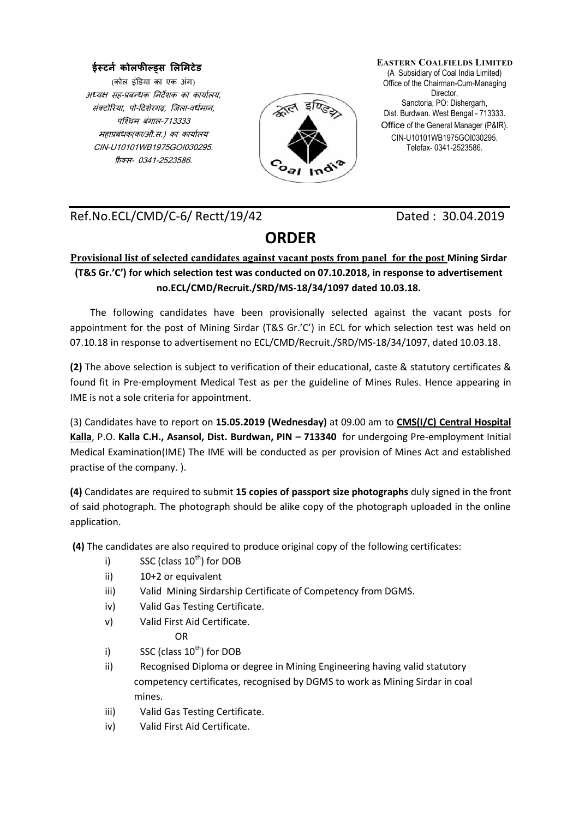## **ईस्टर्न कोलफील्ड्स लललिटेड**

(कोल इंडिया का एक अंग) अध्यक्ष सह-प्रबन्धक निर्देशक का कार्यालय, संक्टोरिया, पो-दिशेरगढ, जिला-वर्धमान, पजचिम बंगाल-713333 महाप्रबंधक(का/औ.स.) का कार्यालय CIN-U10101WB1975GOI030295. फ़ै क्स- 0341-2523586.



**EASTERN COALFIELDS LIMITED** (A Subsidiary of Coal India Limited) Office of the Chairman-Cum-Managing Director, Sanctoria, PO: Dishergarh, Dist. Burdwan. West Bengal - 713333. Office of the General Manager (P&IR). CIN-U10101WB1975GOI030295. Telefax- 0341-2523586.

Ref.No.ECL/CMD/C-6/ Rectt/19/42 Dated : 30.04.2019

## **ORDER**

## **Provisional list of selected candidates against vacant posts from panel for the post Mining Sirdar (T&S Gr.'C') for which selection test was conducted on 07.10.2018, in response to advertisement no.ECL/CMD/Recruit./SRD/MS-18/34/1097 dated 10.03.18.**

The following candidates have been provisionally selected against the vacant posts for appointment for the post of Mining Sirdar (T&S Gr.'C') in ECL for which selection test was held on 07.10.18 in response to advertisement no ECL/CMD/Recruit./SRD/MS-18/34/1097, dated 10.03.18.

**(2)** The above selection is subject to verification of their educational, caste & statutory certificates & found fit in Pre-employment Medical Test as per the guideline of Mines Rules. Hence appearing in IME is not a sole criteria for appointment.

(3) Candidates have to report on **15.05.2019 (Wednesday)** at 09.00 am to **CMS(I/C) Central Hospital Kalla**, P.O. **Kalla C.H., Asansol, Dist. Burdwan, PIN – 713340** for undergoing Pre-employment Initial Medical Examination(IME) The IME will be conducted as per provision of Mines Act and established practise of the company. ).

**(4)** Candidates are required to submit **15 copies of passport size photographs** duly signed in the front of said photograph. The photograph should be alike copy of the photograph uploaded in the online application.

**(4)** The candidates are also required to produce original copy of the following certificates:

- i) SSC (class  $10^{th}$ ) for DOB
- ii) 10+2 or equivalent
- iii) Valid Mining Sirdarship Certificate of Competency from DGMS.
- iv) Valid Gas Testing Certificate.
- v) Valid First Aid Certificate.

OR

- i) SSC (class  $10^{th}$ ) for DOB
- ii) Recognised Diploma or degree in Mining Engineering having valid statutory competency certificates, recognised by DGMS to work as Mining Sirdar in coal mines.
- iii) Valid Gas Testing Certificate.
- iv) Valid First Aid Certificate.